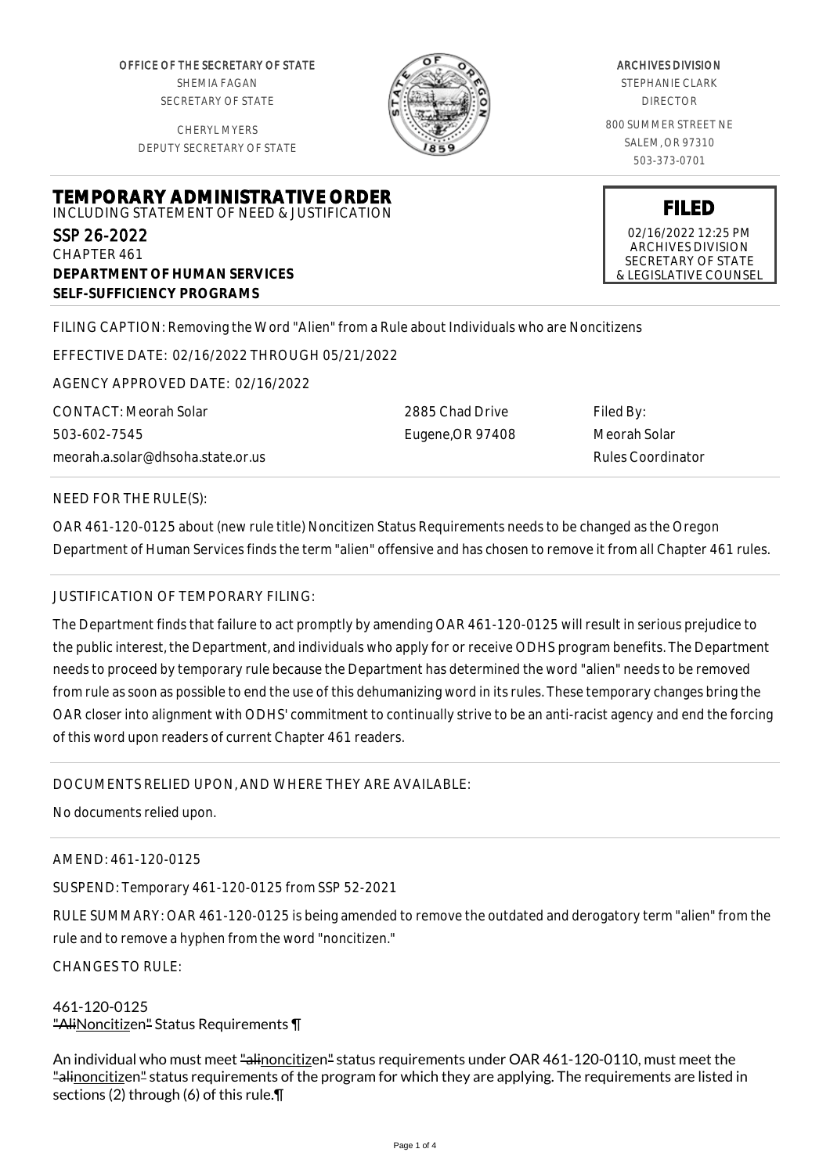OFFICE OF THE SECRETARY OF STATE SHEMIA FAGAN SECRETARY OF STATE

CHERYL MYERS DEPUTY SECRETARY OF STATE



#### ARCHIVES DIVISION

STEPHANIE CLARK DIRECTOR

800 SUMMER STREET NE SALEM, OR 97310 503-373-0701

**FILED** 02/16/2022 12:25 PM ARCHIVES DIVISION SECRETARY OF STATE & LEGISLATIVE COUNSEL

#### **TEMPORARY ADMINISTRATIVE ORDER** INCLUDING STATEMENT OF NEED & JUSTIFICATION

SSP 26-2022 CHAPTER 461 **DEPARTMENT OF HUMAN SERVICES SELF-SUFFICIENCY PROGRAMS**

FILING CAPTION: Removing the Word "Alien" from a Rule about Individuals who are Noncitizens

EFFECTIVE DATE: 02/16/2022 THROUGH 05/21/2022

AGENCY APPROVED DATE: 02/16/2022

CONTACT: Meorah Solar 503-602-7545 meorah.a.solar@dhsoha.state.or.us 2885 Chad Drive Eugene,OR 97408 Filed By: Meorah Solar Rules Coordinator

### NEED FOR THE RULE(S):

OAR 461-120-0125 about (new rule title) Noncitizen Status Requirements needs to be changed as the Oregon Department of Human Services finds the term "alien" offensive and has chosen to remove it from all Chapter 461 rules.

## JUSTIFICATION OF TEMPORARY FILING:

The Department finds that failure to act promptly by amending OAR 461-120-0125 will result in serious prejudice to the public interest, the Department, and individuals who apply for or receive ODHS program benefits. The Department needs to proceed by temporary rule because the Department has determined the word "alien" needs to be removed from rule as soon as possible to end the use of this dehumanizing word in its rules. These temporary changes bring the OAR closer into alignment with ODHS' commitment to continually strive to be an anti-racist agency and end the forcing of this word upon readers of current Chapter 461 readers.

# DOCUMENTS RELIED UPON, AND WHERE THEY ARE AVAILABLE:

No documents relied upon.

AMEND: 461-120-0125

SUSPEND: Temporary 461-120-0125 from SSP 52-2021

RULE SUMMARY: OAR 461-120-0125 is being amended to remove the outdated and derogatory term "alien" from the rule and to remove a hyphen from the word "noncitizen."

CHANGES TO RULE:

### 461-120-0125 "AliNoncitizen" Status Requirements \[

An individual who must meet "alinoncitizen" status requirements under OAR 461-120-0110, must meet the "alinoncitizen" status requirements of the program for which they are applying. The requirements are listed in sections (2) through (6) of this rule.¶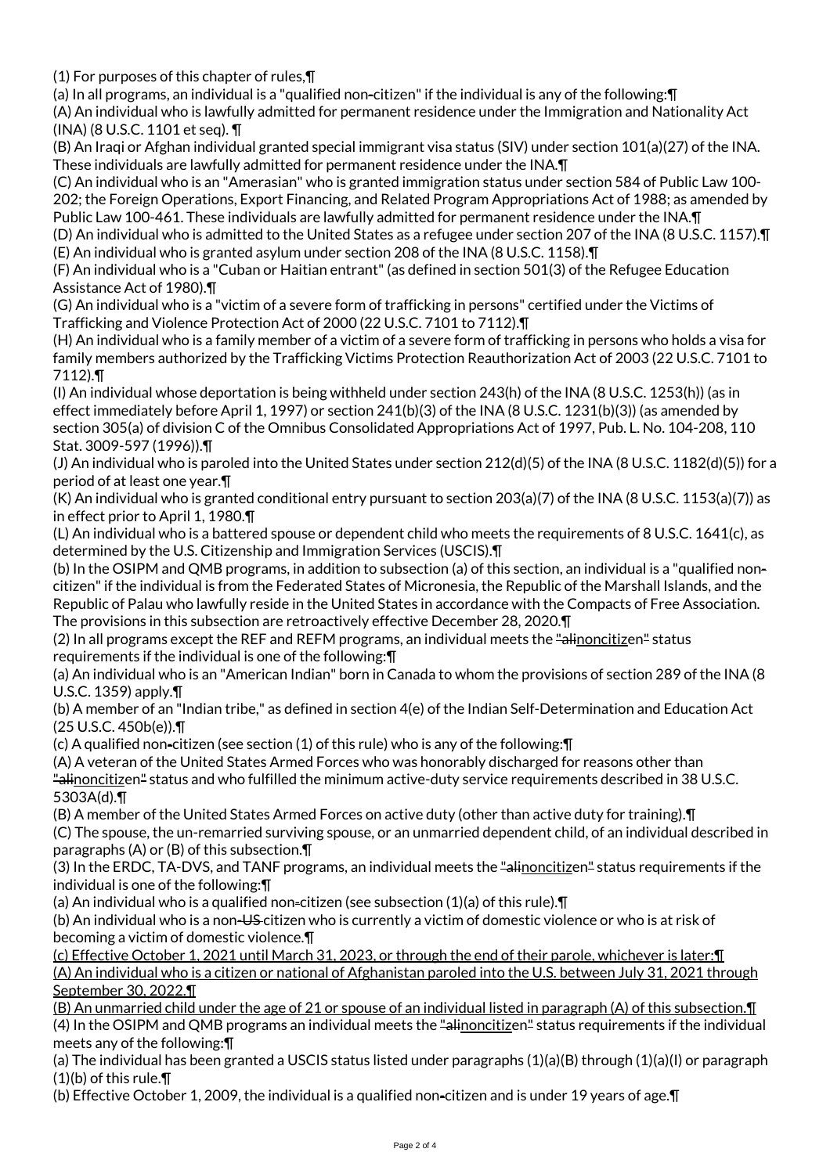(1) For purposes of this chapter of rules,¶

(a) In all programs, an individual is a "qualified non-citizen" if the individual is any of the following:¶

(A) An individual who is lawfully admitted for permanent residence under the Immigration and Nationality Act (INA) (8 U.S.C. 1101 et seq). ¶

(B) An Iraqi or Afghan individual granted special immigrant visa status (SIV) under section 101(a)(27) of the INA. These individuals are lawfully admitted for permanent residence under the INA.¶

(C) An individual who is an "Amerasian" who is granted immigration status under section 584 of Public Law 100-

202; the Foreign Operations, Export Financing, and Related Program Appropriations Act of 1988; as amended by Public Law 100-461. These individuals are lawfully admitted for permanent residence under the INA.¶

(D) An individual who is admitted to the United States as a refugee under section 207 of the INA (8 U.S.C. 1157).¶ (E) An individual who is granted asylum under section 208 of the INA (8 U.S.C. 1158).¶

(F) An individual who is a "Cuban or Haitian entrant" (as defined in section 501(3) of the Refugee Education Assistance Act of 1980).¶

(G) An individual who is a "victim of a severe form of trafficking in persons" certified under the Victims of Trafficking and Violence Protection Act of 2000 (22 U.S.C. 7101 to 7112).¶

(H) An individual who is a family member of a victim of a severe form of trafficking in persons who holds a visa for family members authorized by the Trafficking Victims Protection Reauthorization Act of 2003 (22 U.S.C. 7101 to 7112).¶

(I) An individual whose deportation is being withheld under section 243(h) of the INA (8 U.S.C. 1253(h)) (as in effect immediately before April 1, 1997) or section 241(b)(3) of the INA (8 U.S.C. 1231(b)(3)) (as amended by section 305(a) of division C of the Omnibus Consolidated Appropriations Act of 1997, Pub. L. No. 104-208, 110 Stat. 3009-597 (1996)).¶

(J) An individual who is paroled into the United States under section 212(d)(5) of the INA (8 U.S.C. 1182(d)(5)) for a period of at least one year.¶

(K) An individual who is granted conditional entry pursuant to section 203(a)(7) of the INA (8 U.S.C. 1153(a)(7)) as in effect prior to April 1, 1980.¶

(L) An individual who is a battered spouse or dependent child who meets the requirements of 8 U.S.C. 1641(c), as determined by the U.S. Citizenship and Immigration Services (USCIS).¶

(b) In the OSIPM and QMB programs, in addition to subsection (a) of this section, an individual is a "qualified noncitizen" if the individual is from the Federated States of Micronesia, the Republic of the Marshall Islands, and the Republic of Palau who lawfully reside in the United States in accordance with the Compacts of Free Association. The provisions in this subsection are retroactively effective December 28, 2020.¶

(2) In all programs except the REF and REFM programs, an individual meets the "alinoncitizen" status requirements if the individual is one of the following:¶

(a) An individual who is an "American Indian" born in Canada to whom the provisions of section 289 of the INA (8 U.S.C. 1359) apply.¶

(b) A member of an "Indian tribe," as defined in section 4(e) of the Indian Self-Determination and Education Act (25 U.S.C. 450b(e)).¶

(c) A qualified non-citizen (see section (1) of this rule) who is any of the following:¶

(A) A veteran of the United States Armed Forces who was honorably discharged for reasons other than "alinoncitizen" status and who fulfilled the minimum active-duty service requirements described in 38 U.S.C. 5303A(d).¶

(B) A member of the United States Armed Forces on active duty (other than active duty for training).¶

(C) The spouse, the un-remarried surviving spouse, or an unmarried dependent child, of an individual described in paragraphs (A) or (B) of this subsection.¶

(3) In the ERDC, TA-DVS, and TANF programs, an individual meets the "alinoncitizen" status requirements if the individual is one of the following:¶

(a) An individual who is a qualified non-citizen (see subsection (1)(a) of this rule).¶

(b) An individual who is a non-US citizen who is currently a victim of domestic violence or who is at risk of becoming a victim of domestic violence.¶

(c) Effective October 1, 2021 until March 31, 2023, or through the end of their parole, whichever is later:¶ (A) An individual who is a citizen or national of Afghanistan paroled into the U.S. between July 31, 2021 through September 30, 2022.¶

(B) An unmarried child under the age of 21 or spouse of an individual listed in paragraph (A) of this subsection.¶ (4) In the OSIPM and QMB programs an individual meets the "alinoncitizen" status requirements if the individual meets any of the following:¶

(a) The individual has been granted a USCIS status listed under paragraphs (1)(a)(B) through (1)(a)(I) or paragraph (1)(b) of this rule.¶

(b) Effective October 1, 2009, the individual is a qualified non-citizen and is under 19 years of age.¶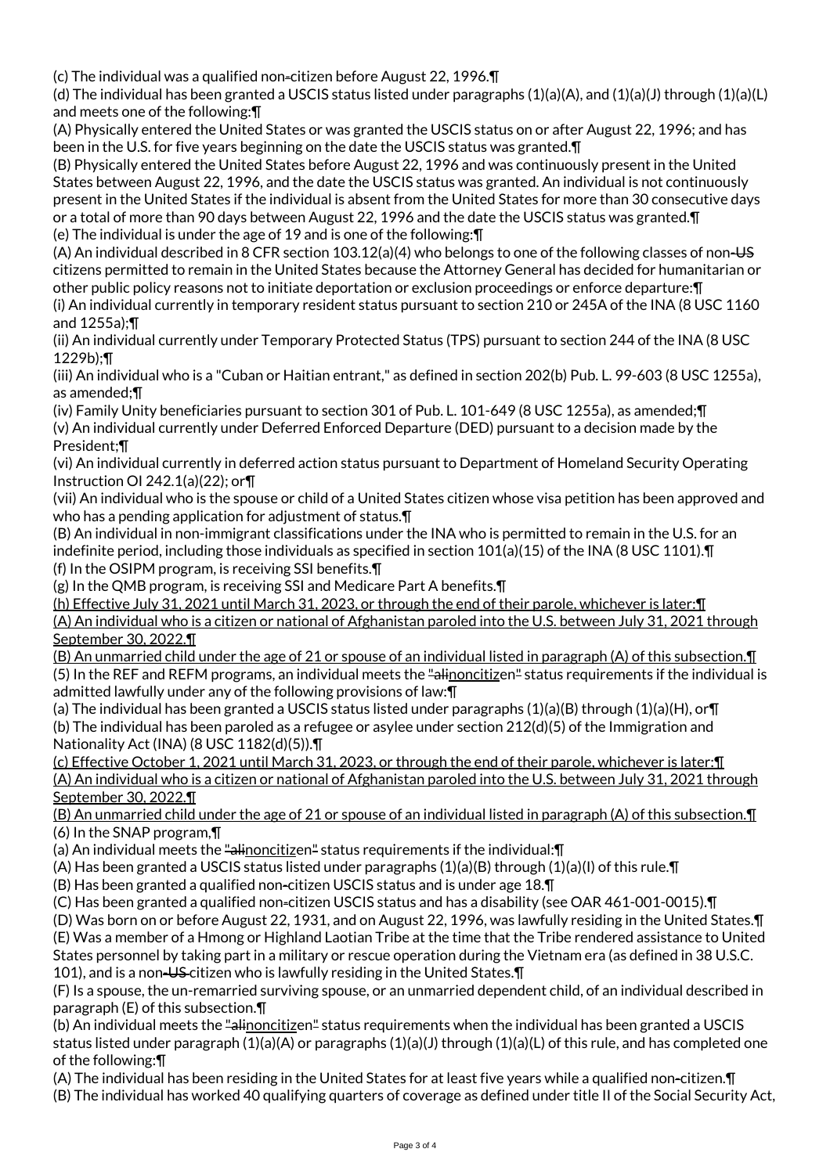(c) The individual was a qualified non-citizen before August 22, 1996.¶

(d) The individual has been granted a USCIS status listed under paragraphs (1)(a)(A), and (1)(a)(J) through (1)(a)(L) and meets one of the following:¶

(A) Physically entered the United States or was granted the USCIS status on or after August 22, 1996; and has been in the U.S. for five years beginning on the date the USCIS status was granted.¶

(B) Physically entered the United States before August 22, 1996 and was continuously present in the United States between August 22, 1996, and the date the USCIS status was granted. An individual is not continuously present in the United States if the individual is absent from the United States for more than 30 consecutive days or a total of more than 90 days between August 22, 1996 and the date the USCIS status was granted.¶ (e) The individual is under the age of 19 and is one of the following:¶

(A) An individual described in 8 CFR section 103.12(a)(4) who belongs to one of the following classes of non-US citizens permitted to remain in the United States because the Attorney General has decided for humanitarian or other public policy reasons not to initiate deportation or exclusion proceedings or enforce departure:¶ (i) An individual currently in temporary resident status pursuant to section 210 or 245A of the INA (8 USC 1160 and 1255a);¶

(ii) An individual currently under Temporary Protected Status (TPS) pursuant to section 244 of the INA (8 USC 1229b);¶

(iii) An individual who is a "Cuban or Haitian entrant," as defined in section 202(b) Pub. L. 99-603 (8 USC 1255a), as amended;¶

(iv) Family Unity beneficiaries pursuant to section 301 of Pub. L. 101-649 (8 USC 1255a), as amended;¶ (v) An individual currently under Deferred Enforced Departure (DED) pursuant to a decision made by the President;¶

(vi) An individual currently in deferred action status pursuant to Department of Homeland Security Operating Instruction OI 242.1(a)(22); or¶

(vii) An individual who is the spouse or child of a United States citizen whose visa petition has been approved and who has a pending application for adjustment of status. The

(B) An individual in non-immigrant classifications under the INA who is permitted to remain in the U.S. for an indefinite period, including those individuals as specified in section 101(a)(15) of the INA (8 USC 1101).¶ (f) In the OSIPM program, is receiving SSI benefits.¶

(g) In the QMB program, is receiving SSI and Medicare Part A benefits.¶

(h) Effective July 31, 2021 until March 31, 2023, or through the end of their parole, whichever is later:¶ (A) An individual who is a citizen or national of Afghanistan paroled into the U.S. between July 31, 2021 through September 30, 2022.¶

(B) An unmarried child under the age of 21 or spouse of an individual listed in paragraph (A) of this subsection.¶ (5) In the REF and REFM programs, an individual meets the "alinoncitizen" status requirements if the individual is admitted lawfully under any of the following provisions of law:¶

(a) The individual has been granted a USCIS status listed under paragraphs  $(1)(a)(B)$  through  $(1)(a)(H)$ , or $\P$ (b) The individual has been paroled as a refugee or asylee under section 212(d)(5) of the Immigration and Nationality Act (INA) (8 USC 1182(d)(5)).¶

(c) Effective October 1, 2021 until March 31, 2023, or through the end of their parole, whichever is later:¶ (A) An individual who is a citizen or national of Afghanistan paroled into the U.S. between July 31, 2021 through September 30, 2022.¶

(B) An unmarried child under the age of 21 or spouse of an individual listed in paragraph (A) of this subsection.¶ (6) In the SNAP program,¶

(a) An individual meets the "alinoncitizen" status requirements if the individual: []

(A) Has been granted a USCIS status listed under paragraphs  $(1)(a)(B)$  through  $(1)(a)(I)$  of this rule. If

(B) Has been granted a qualified non-citizen USCIS status and is under age 18.¶

(C) Has been granted a qualified non-citizen USCIS status and has a disability (see OAR 461-001-0015).¶

(D) Was born on or before August 22, 1931, and on August 22, 1996, was lawfully residing in the United States.¶ (E) Was a member of a Hmong or Highland Laotian Tribe at the time that the Tribe rendered assistance to United States personnel by taking part in a military or rescue operation during the Vietnam era (as defined in 38 U.S.C. 101), and is a non-US citizen who is lawfully residing in the United States.¶

(F) Is a spouse, the un-remarried surviving spouse, or an unmarried dependent child, of an individual described in paragraph (E) of this subsection.¶

(b) An individual meets the "alinoncitizen" status requirements when the individual has been granted a USCIS status listed under paragraph (1)(a)(A) or paragraphs (1)(a)(J) through (1)(a)(L) of this rule, and has completed one of the following:¶

(A) The individual has been residing in the United States for at least five years while a qualified non-citizen.¶

(B) The individual has worked 40 qualifying quarters of coverage as defined under title II of the Social Security Act,